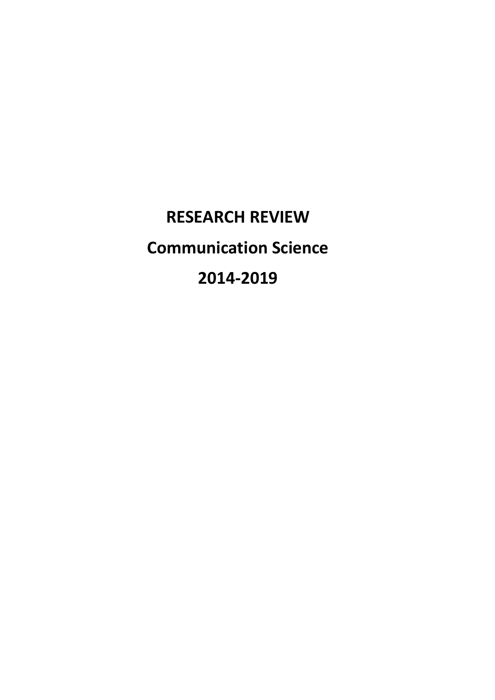**RESEARCH REVIEW Communication Science 2014-2019**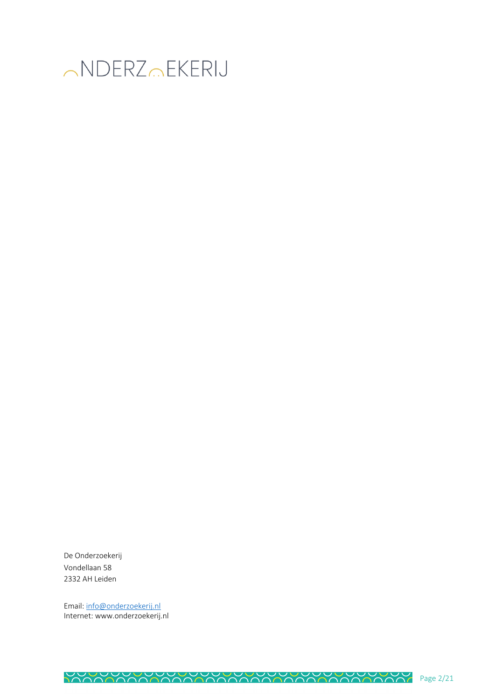

De Onderzoekerij Vondellaan 58 2332 AH Leiden

Email: info@onderzoekerij.nl Internet: www.onderzoekerij.nl

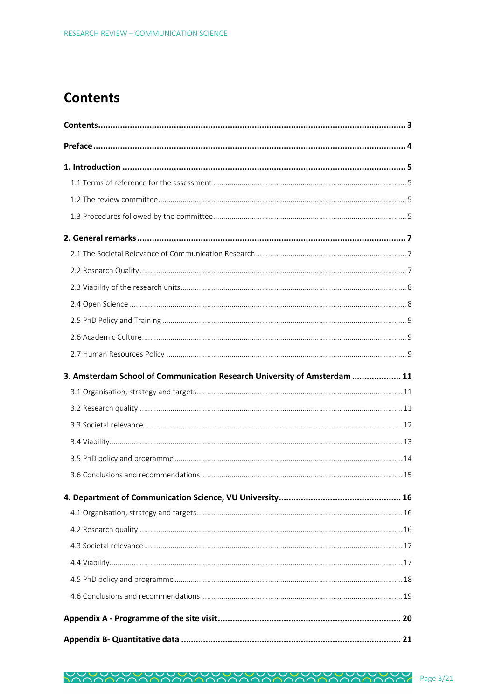# **Contents**

| 3. Amsterdam School of Communication Research University of Amsterdam  11 |  |
|---------------------------------------------------------------------------|--|
|                                                                           |  |
|                                                                           |  |
|                                                                           |  |
|                                                                           |  |
|                                                                           |  |
|                                                                           |  |
|                                                                           |  |
|                                                                           |  |
|                                                                           |  |
|                                                                           |  |
|                                                                           |  |
|                                                                           |  |
|                                                                           |  |
|                                                                           |  |
|                                                                           |  |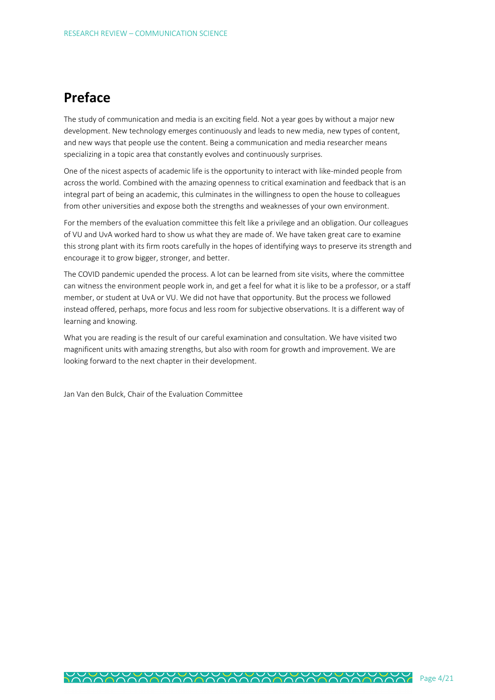## **Preface**

The study of communication and media is an exciting field. Not a year goes by without a major new development. New technology emerges continuously and leads to new media, new types of content, and new ways that people use the content. Being a communication and media researcher means specializing in a topic area that constantly evolves and continuously surprises.

One of the nicest aspects of academic life is the opportunity to interact with like-minded people from across the world. Combined with the amazing openness to critical examination and feedback that is an integral part of being an academic, this culminates in the willingness to open the house to colleagues from other universities and expose both the strengths and weaknesses of your own environment.

For the members of the evaluation committee this felt like a privilege and an obligation. Our colleagues of VU and UvA worked hard to show us what they are made of. We have taken great care to examine this strong plant with its firm roots carefully in the hopes of identifying ways to preserve its strength and encourage it to grow bigger, stronger, and better.

The COVID pandemic upended the process. A lot can be learned from site visits, where the committee can witness the environment people work in, and get a feel for what it is like to be a professor, or a staff member, or student at UvA or VU. We did not have that opportunity. But the process we followed instead offered, perhaps, more focus and less room for subjective observations. It is a different way of learning and knowing.

What you are reading is the result of our careful examination and consultation. We have visited two magnificent units with amazing strengths, but also with room for growth and improvement. We are looking forward to the next chapter in their development.

Jan Van den Bulck, Chair of the Evaluation Committee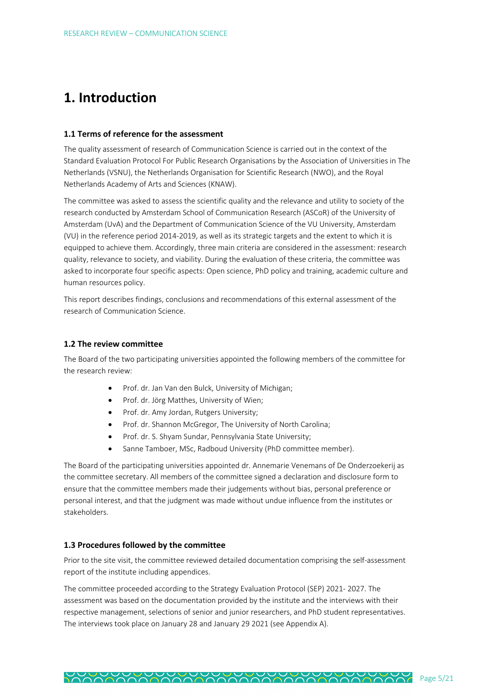## **1. Introduction**

#### **1.1 Terms of reference for the assessment**

The quality assessment of research of Communication Science is carried out in the context of the Standard Evaluation Protocol For Public Research Organisations by the Association of Universities in The Netherlands (VSNU), the Netherlands Organisation for Scientific Research (NWO), and the Royal Netherlands Academy of Arts and Sciences (KNAW).

The committee was asked to assess the scientific quality and the relevance and utility to society of the research conducted by Amsterdam School of Communication Research (ASCoR) of the University of Amsterdam (UvA) and the Department of Communication Science of the VU University, Amsterdam (VU) in the reference period 2014-2019, as well as its strategic targets and the extent to which it is equipped to achieve them. Accordingly, three main criteria are considered in the assessment: research quality, relevance to society, and viability. During the evaluation of these criteria, the committee was asked to incorporate four specific aspects: Open science, PhD policy and training, academic culture and human resources policy.

This report describes findings, conclusions and recommendations of this external assessment of the research of Communication Science.

#### **1.2 The review committee**

The Board of the two participating universities appointed the following members of the committee for the research review:

- Prof. dr. Jan Van den Bulck, University of Michigan;
- Prof. dr. Jörg Matthes, University of Wien;
- Prof. dr. Amy Jordan, Rutgers University;
- Prof. dr. Shannon McGregor, The University of North Carolina;
- Prof. dr. S. Shyam Sundar, Pennsylvania State University;
- Sanne Tamboer, MSc, Radboud University (PhD committee member).

The Board of the participating universities appointed dr. Annemarie Venemans of De Onderzoekerij as the committee secretary. All members of the committee signed a declaration and disclosure form to ensure that the committee members made their judgements without bias, personal preference or personal interest, and that the judgment was made without undue influence from the institutes or stakeholders.

#### **1.3 Procedures followed by the committee**

Prior to the site visit, the committee reviewed detailed documentation comprising the self-assessment report of the institute including appendices.

The committee proceeded according to the Strategy Evaluation Protocol (SEP) 2021- 2027. The assessment was based on the documentation provided by the institute and the interviews with their respective management, selections of senior and junior researchers, and PhD student representatives. The interviews took place on January 28 and January 29 2021 (see Appendix A).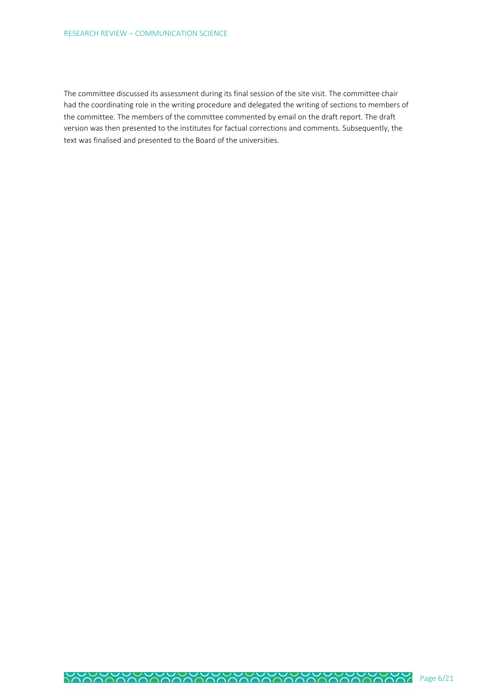The committee discussed its assessment during its final session of the site visit. The committee chair had the coordinating role in the writing procedure and delegated the writing of sections to members of the committee. The members of the committee commented by email on the draft report. The draft version was then presented to the institutes for factual corrections and comments. Subsequently, the text was finalised and presented to the Board of the universities.

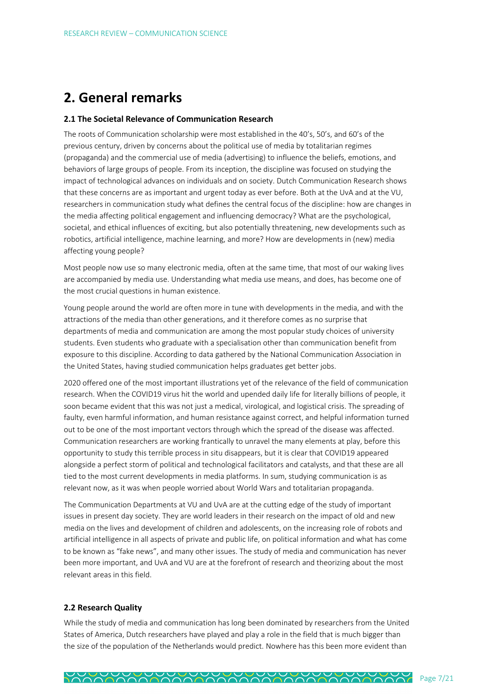# **2. General remarks**

#### **2.1 The Societal Relevance of Communication Research**

The roots of Communication scholarship were most established in the 40's, 50's, and 60's of the previous century, driven by concerns about the political use of media by totalitarian regimes (propaganda) and the commercial use of media (advertising) to influence the beliefs, emotions, and behaviors of large groups of people. From its inception, the discipline was focused on studying the impact of technological advances on individuals and on society. Dutch Communication Research shows that these concerns are as important and urgent today as ever before. Both at the UvA and at the VU, researchers in communication study what defines the central focus of the discipline: how are changes in the media affecting political engagement and influencing democracy? What are the psychological, societal, and ethical influences of exciting, but also potentially threatening, new developments such as robotics, artificial intelligence, machine learning, and more? How are developments in (new) media affecting young people?

Most people now use so many electronic media, often at the same time, that most of our waking lives are accompanied by media use. Understanding what media use means, and does, has become one of the most crucial questions in human existence.

Young people around the world are often more in tune with developments in the media, and with the attractions of the media than other generations, and it therefore comes as no surprise that departments of media and communication are among the most popular study choices of university students. Even students who graduate with a specialisation other than communication benefit from exposure to this discipline. According to data gathered by the National Communication Association in the United States, having studied communication helps graduates get better jobs.

2020 offered one of the most important illustrations yet of the relevance of the field of communication research. When the COVID19 virus hit the world and upended daily life for literally billions of people, it soon became evident that this was not just a medical, virological, and logistical crisis. The spreading of faulty, even harmful information, and human resistance against correct, and helpful information turned out to be one of the most important vectors through which the spread of the disease was affected. Communication researchers are working frantically to unravel the many elements at play, before this opportunity to study this terrible process in situ disappears, but it is clear that COVID19 appeared alongside a perfect storm of political and technological facilitators and catalysts, and that these are all tied to the most current developments in media platforms. In sum, studying communication is as relevant now, as it was when people worried about World Wars and totalitarian propaganda.

The Communication Departments at VU and UvA are at the cutting edge of the study of important issues in present day society. They are world leaders in their research on the impact of old and new media on the lives and development of children and adolescents, on the increasing role of robots and artificial intelligence in all aspects of private and public life, on political information and what has come to be known as "fake news", and many other issues. The study of media and communication has never been more important, and UvA and VU are at the forefront of research and theorizing about the most relevant areas in this field.

#### **2.2 Research Quality**

While the study of media and communication has long been dominated by researchers from the United States of America, Dutch researchers have played and play a role in the field that is much bigger than the size of the population of the Netherlands would predict. Nowhere has this been more evident than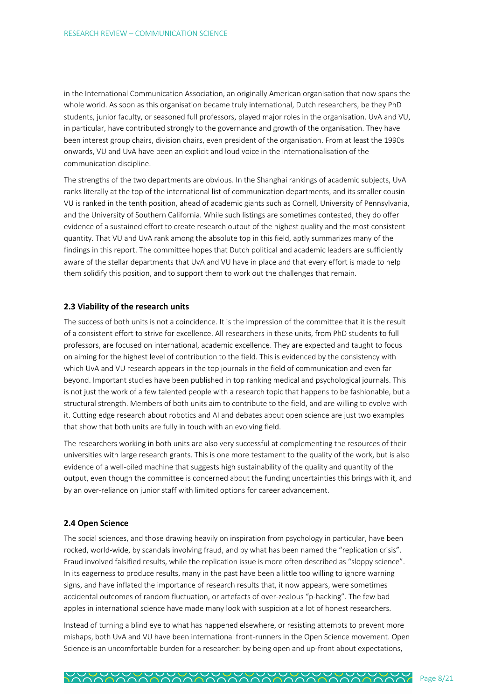in the International Communication Association, an originally American organisation that now spans the whole world. As soon as this organisation became truly international, Dutch researchers, be they PhD students, junior faculty, or seasoned full professors, played major roles in the organisation. UvA and VU, in particular, have contributed strongly to the governance and growth of the organisation. They have been interest group chairs, division chairs, even president of the organisation. From at least the 1990s onwards, VU and UvA have been an explicit and loud voice in the internationalisation of the communication discipline.

The strengths of the two departments are obvious. In the Shanghai rankings of academic subjects, UvA ranks literally at the top of the international list of communication departments, and its smaller cousin VU is ranked in the tenth position, ahead of academic giants such as Cornell, University of Pennsylvania, and the University of Southern California. While such listings are sometimes contested, they do offer evidence of a sustained effort to create research output of the highest quality and the most consistent quantity. That VU and UvA rank among the absolute top in this field, aptly summarizes many of the findings in this report. The committee hopes that Dutch political and academic leaders are sufficiently aware of the stellar departments that UvA and VU have in place and that every effort is made to help them solidify this position, and to support them to work out the challenges that remain.

#### **2.3 Viability of the research units**

The success of both units is not a coincidence. It is the impression of the committee that it is the result of a consistent effort to strive for excellence. All researchers in these units, from PhD students to full professors, are focused on international, academic excellence. They are expected and taught to focus on aiming for the highest level of contribution to the field. This is evidenced by the consistency with which UvA and VU research appears in the top journals in the field of communication and even far beyond. Important studies have been published in top ranking medical and psychological journals. This is not just the work of a few talented people with a research topic that happens to be fashionable, but a structural strength. Members of both units aim to contribute to the field, and are willing to evolve with it. Cutting edge research about robotics and AI and debates about open science are just two examples that show that both units are fully in touch with an evolving field.

The researchers working in both units are also very successful at complementing the resources of their universities with large research grants. This is one more testament to the quality of the work, but is also evidence of a well-oiled machine that suggests high sustainability of the quality and quantity of the output, even though the committee is concerned about the funding uncertainties this brings with it, and by an over-reliance on junior staff with limited options for career advancement.

#### **2.4 Open Science**

The social sciences, and those drawing heavily on inspiration from psychology in particular, have been rocked, world-wide, by scandals involving fraud, and by what has been named the "replication crisis". Fraud involved falsified results, while the replication issue is more often described as "sloppy science". In its eagerness to produce results, many in the past have been a little too willing to ignore warning signs, and have inflated the importance of research results that, it now appears, were sometimes accidental outcomes of random fluctuation, or artefacts of over-zealous "p-hacking". The few bad apples in international science have made many look with suspicion at a lot of honest researchers.

Instead of turning a blind eye to what has happened elsewhere, or resisting attempts to prevent more mishaps, both UvA and VU have been international front-runners in the Open Science movement. Open Science is an uncomfortable burden for a researcher: by being open and up-front about expectations,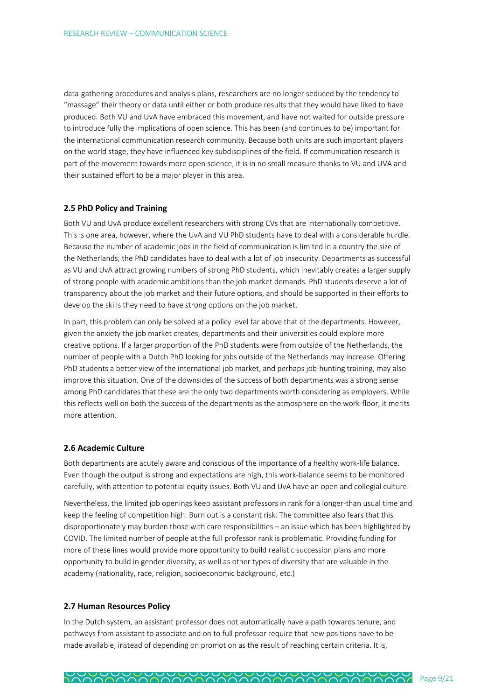data-gathering procedures and analysis plans, researchers are no longer seduced by the tendency to "massage" their theory or data until either or both produce results that they would have liked to have produced. Both VU and UvA have embraced this movement, and have not waited for outside pressure to introduce fully the implications of open science. This has been (and continues to be) important for the international communication research community. Because both units are such important players on the world stage, they have influenced key subdisciplines of the field. If communication research is part of the movement towards more open science, it is in no small measure thanks to VU and UVA and their sustained effort to be a major player in this area.

#### **2.5 PhD Policy and Training**

Both VU and UvA produce excellent researchers with strong CVs that are internationally competitive. This is one area, however, where the UvA and VU PhD students have to deal with a considerable hurdle. Because the number of academic jobs in the field of communication is limited in a country the size of the Netherlands, the PhD candidates have to deal with a lot of job insecurity. Departments as successful as VU and UvA attract growing numbers of strong PhD students, which inevitably creates a larger supply of strong people with academic ambitions than the job market demands. PhD students deserve a lot of transparency about the job market and their future options, and should be supported in their efforts to develop the skills they need to have strong options on the job market.

In part, this problem can only be solved at a policy level far above that of the departments. However, given the anxiety the job market creates, departments and their universities could explore more creative options. If a larger proportion of the PhD students were from outside of the Netherlands, the number of people with a Dutch PhD looking for jobs outside of the Netherlands may increase. Offering PhD students a better view of the international job market, and perhaps job-hunting training, may also improve this situation. One of the downsides of the success of both departments was a strong sense among PhD candidates that these are the only two departments worth considering as employers. While this reflects well on both the success of the departments as the atmosphere on the work-floor, it merits more attention.

#### **2.6 Academic Culture**

Both departments are acutely aware and conscious of the importance of a healthy work-life balance. Even though the output is strong and expectations are high, this work-balance seems to be monitored carefully, with attention to potential equity issues. Both VU and UvA have an open and collegial culture.

Nevertheless, the limited job openings keep assistant professors in rank for a longer-than usual time and keep the feeling of competition high. Burn out is a constant risk. The committee also fears that this disproportionately may burden those with care responsibilities – an issue which has been highlighted by COVID. The limited number of people at the full professor rank is problematic. Providing funding for more of these lines would provide more opportunity to build realistic succession plans and more opportunity to build in gender diversity, as well as other types of diversity that are valuable in the academy (nationality, race, religion, socioeconomic background, etc.)

#### **2.7 Human Resources Policy**

In the Dutch system, an assistant professor does not automatically have a path towards tenure, and pathways from assistant to associate and on to full professor require that new positions have to be made available, instead of depending on promotion as the result of reaching certain criteria. It is,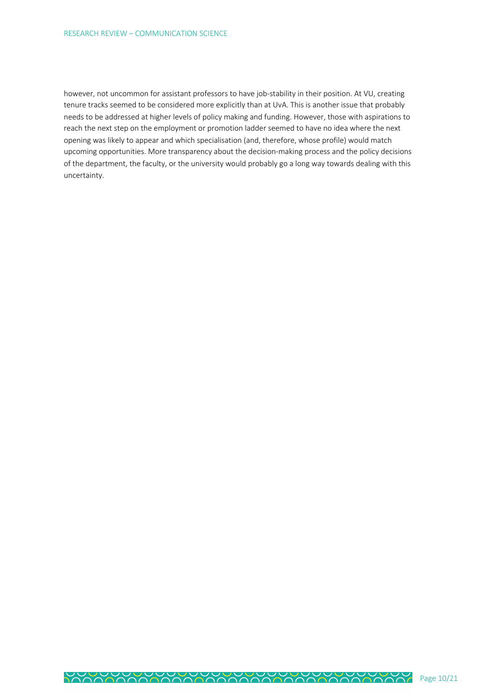however, not uncommon for assistant professors to have job-stability in their position. At VU, creating tenure tracks seemed to be considered more explicitly than at UvA. This is another issue that probably needs to be addressed at higher levels of policy making and funding. However, those with aspirations to reach the next step on the employment or promotion ladder seemed to have no idea where the next opening was likely to appear and which specialisation (and, therefore, whose profile) would match upcoming opportunities. More transparency about the decision-making process and the policy decisions of the department, the faculty, or the university would probably go a long way towards dealing with this uncertainty.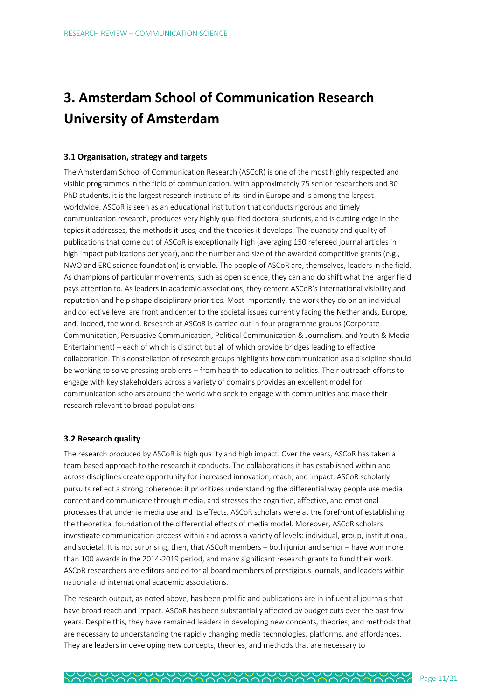# **3. Amsterdam School of Communication Research University of Amsterdam**

#### **3.1 Organisation, strategy and targets**

The Amsterdam School of Communication Research (ASCoR) is one of the most highly respected and visible programmes in the field of communication. With approximately 75 senior researchers and 30 PhD students, it is the largest research institute of its kind in Europe and is among the largest worldwide. ASCoR is seen as an educational institution that conducts rigorous and timely communication research, produces very highly qualified doctoral students, and is cutting edge in the topics it addresses, the methods it uses, and the theories it develops. The quantity and quality of publications that come out of ASCoR is exceptionally high (averaging 150 refereed journal articles in high impact publications per year), and the number and size of the awarded competitive grants (e.g., NWO and ERC science foundation) is enviable. The people of ASCoR are, themselves, leaders in the field. As champions of particular movements, such as open science, they can and do shift what the larger field pays attention to. As leaders in academic associations, they cement ASCoR's international visibility and reputation and help shape disciplinary priorities. Most importantly, the work they do on an individual and collective level are front and center to the societal issues currently facing the Netherlands, Europe, and, indeed, the world. Research at ASCoR is carried out in four programme groups (Corporate Communication, Persuasive Communication, Political Communication & Journalism, and Youth & Media Entertainment) – each of which is distinct but all of which provide bridges leading to effective collaboration. This constellation of research groups highlights how communication as a discipline should be working to solve pressing problems – from health to education to politics. Their outreach efforts to engage with key stakeholders across a variety of domains provides an excellent model for communication scholars around the world who seek to engage with communities and make their research relevant to broad populations.

#### **3.2 Research quality**

The research produced by ASCoR is high quality and high impact. Over the years, ASCoR has taken a team-based approach to the research it conducts. The collaborations it has established within and across disciplines create opportunity for increased innovation, reach, and impact. ASCoR scholarly pursuits reflect a strong coherence: it prioritizes understanding the differential way people use media content and communicate through media, and stresses the cognitive, affective, and emotional processes that underlie media use and its effects. ASCoR scholars were at the forefront of establishing the theoretical foundation of the differential effects of media model. Moreover, ASCoR scholars investigate communication process within and across a variety of levels: individual, group, institutional, and societal. It is not surprising, then, that ASCoR members – both junior and senior – have won more than 100 awards in the 2014-2019 period, and many significant research grants to fund their work. ASCoR researchers are editors and editorial board members of prestigious journals, and leaders within national and international academic associations.

The research output, as noted above, has been prolific and publications are in influential journals that have broad reach and impact. ASCoR has been substantially affected by budget cuts over the past few years. Despite this, they have remained leaders in developing new concepts, theories, and methods that are necessary to understanding the rapidly changing media technologies, platforms, and affordances. They are leaders in developing new concepts, theories, and methods that are necessary to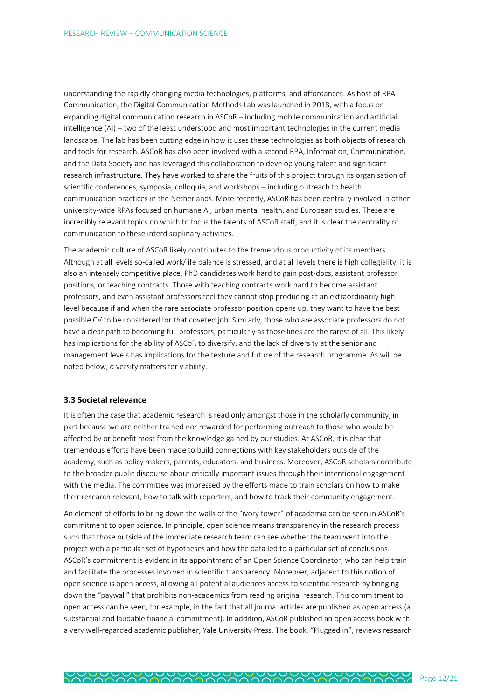understanding the rapidly changing media technologies, platforms, and affordances. As host of RPA Communication, the Digital Communication Methods Lab was launched in 2018, with a focus on expanding digital communication research in ASCoR – including mobile communication and artificial intelligence (AI) – two of the least understood and most important technologies in the current media landscape. The lab has been cutting edge in how it uses these technologies as both objects of research and tools for research. ASCoR has also been involved with a second RPA, Information, Communication, and the Data Society and has leveraged this collaboration to develop young talent and significant research infrastructure. They have worked to share the fruits of this project through its organisation of scientific conferences, symposia, colloquia, and workshops – including outreach to health communication practices in the Netherlands. More recently, ASCoR has been centrally involved in other university-wide RPAs focused on humane AI, urban mental health, and European studies. These are incredibly relevant topics on which to focus the talents of ASCoR staff, and it is clear the centrality of communication to these interdisciplinary activities.

The academic culture of ASCoR likely contributes to the tremendous productivity of its members. Although at all levels so-called work/life balance is stressed, and at all levels there is high collegiality, it is also an intensely competitive place. PhD candidates work hard to gain post-docs, assistant professor positions, or teaching contracts. Those with teaching contracts work hard to become assistant professors, and even assistant professors feel they cannot stop producing at an extraordinarily high level because if and when the rare associate professor position opens up, they want to have the best possible CV to be considered for that coveted job. Similarly, those who are associate professors do not have a clear path to becoming full professors, particularly as those lines are the rarest of all. This likely has implications for the ability of ASCoR to diversify, and the lack of diversity at the senior and management levels has implications for the texture and future of the research programme. As will be noted below, diversity matters for viability.

#### **3.3 Societal relevance**

It is often the case that academic research is read only amongst those in the scholarly community, in part because we are neither trained nor rewarded for performing outreach to those who would be affected by or benefit most from the knowledge gained by our studies. At ASCoR, it is clear that tremendous efforts have been made to build connections with key stakeholders outside of the academy, such as policy makers, parents, educators, and business. Moreover, ASCoR scholars contribute to the broader public discourse about critically important issues through their intentional engagement with the media. The committee was impressed by the efforts made to train scholars on how to make their research relevant, how to talk with reporters, and how to track their community engagement.

An element of efforts to bring down the walls of the "ivory tower" of academia can be seen in ASCoR's commitment to open science. In principle, open science means transparency in the research process such that those outside of the immediate research team can see whether the team went into the project with a particular set of hypotheses and how the data led to a particular set of conclusions. ASCoR's commitment is evident in its appointment of an Open Science Coordinator, who can help train and facilitate the processes involved in scientific transparency. Moreover, adjacent to this notion of open science is open access, allowing all potential audiences access to scientific research by bringing down the "paywall" that prohibits non-academics from reading original research. This commitment to open access can be seen, for example, in the fact that all journal articles are published as open access (a substantial and laudable financial commitment). In addition, ASCoR published an open access book with a very well-regarded academic publisher, Yale University Press. The book, "Plugged in", reviews research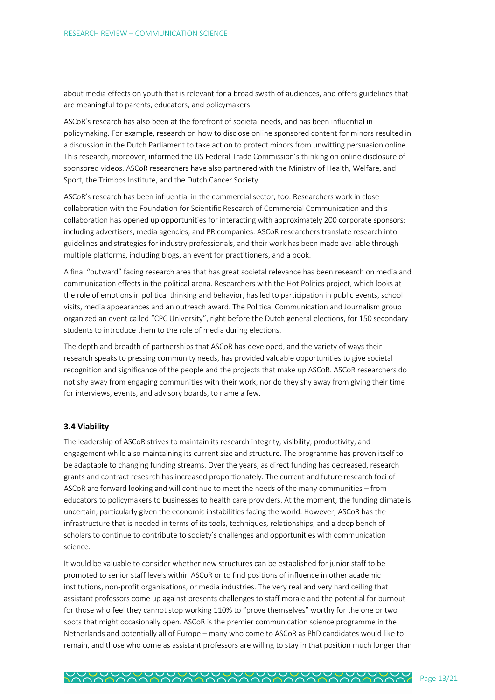about media effects on youth that is relevant for a broad swath of audiences, and offers guidelines that are meaningful to parents, educators, and policymakers.

ASCoR's research has also been at the forefront of societal needs, and has been influential in policymaking. For example, research on how to disclose online sponsored content for minors resulted in a discussion in the Dutch Parliament to take action to protect minors from unwitting persuasion online. This research, moreover, informed the US Federal Trade Commission's thinking on online disclosure of sponsored videos. ASCoR researchers have also partnered with the Ministry of Health, Welfare, and Sport, the Trimbos Institute, and the Dutch Cancer Society.

ASCoR's research has been influential in the commercial sector, too. Researchers work in close collaboration with the Foundation for Scientific Research of Commercial Communication and this collaboration has opened up opportunities for interacting with approximately 200 corporate sponsors; including advertisers, media agencies, and PR companies. ASCoR researchers translate research into guidelines and strategies for industry professionals, and their work has been made available through multiple platforms, including blogs, an event for practitioners, and a book.

A final "outward" facing research area that has great societal relevance has been research on media and communication effects in the political arena. Researchers with the Hot Politics project, which looks at the role of emotions in political thinking and behavior, has led to participation in public events, school visits, media appearances and an outreach award. The Political Communication and Journalism group organized an event called "CPC University", right before the Dutch general elections, for 150 secondary students to introduce them to the role of media during elections.

The depth and breadth of partnerships that ASCoR has developed, and the variety of ways their research speaks to pressing community needs, has provided valuable opportunities to give societal recognition and significance of the people and the projects that make up ASCoR. ASCoR researchers do not shy away from engaging communities with their work, nor do they shy away from giving their time for interviews, events, and advisory boards, to name a few.

#### **3.4 Viability**

The leadership of ASCoR strives to maintain its research integrity, visibility, productivity, and engagement while also maintaining its current size and structure. The programme has proven itself to be adaptable to changing funding streams. Over the years, as direct funding has decreased, research grants and contract research has increased proportionately. The current and future research foci of ASCoR are forward looking and will continue to meet the needs of the many communities – from educators to policymakers to businesses to health care providers. At the moment, the funding climate is uncertain, particularly given the economic instabilities facing the world. However, ASCoR has the infrastructure that is needed in terms of its tools, techniques, relationships, and a deep bench of scholars to continue to contribute to society's challenges and opportunities with communication science.

It would be valuable to consider whether new structures can be established for junior staff to be promoted to senior staff levels within ASCoR or to find positions of influence in other academic institutions, non-profit organisations, or media industries. The very real and very hard ceiling that assistant professors come up against presents challenges to staff morale and the potential for burnout for those who feel they cannot stop working 110% to "prove themselves" worthy for the one or two spots that might occasionally open. ASCoR is the premier communication science programme in the Netherlands and potentially all of Europe – many who come to ASCoR as PhD candidates would like to remain, and those who come as assistant professors are willing to stay in that position much longer than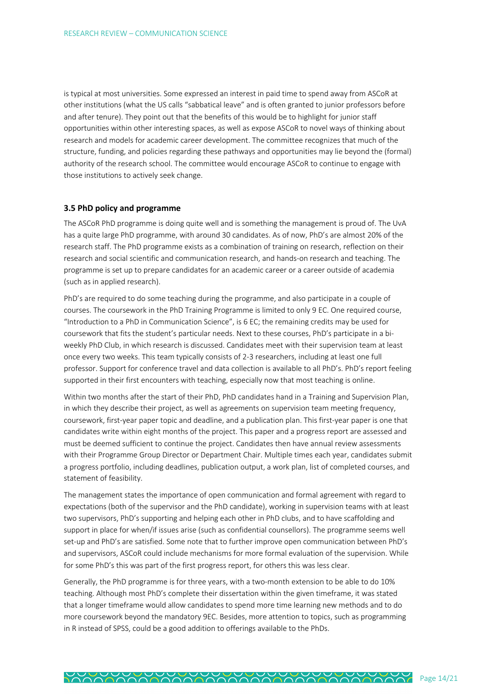is typical at most universities. Some expressed an interest in paid time to spend away from ASCoR at other institutions (what the US calls "sabbatical leave" and is often granted to junior professors before and after tenure). They point out that the benefits of this would be to highlight for junior staff opportunities within other interesting spaces, as well as expose ASCoR to novel ways of thinking about research and models for academic career development. The committee recognizes that much of the structure, funding, and policies regarding these pathways and opportunities may lie beyond the (formal) authority of the research school. The committee would encourage ASCoR to continue to engage with those institutions to actively seek change.

#### **3.5 PhD policy and programme**

The ASCoR PhD programme is doing quite well and is something the management is proud of. The UvA has a quite large PhD programme, with around 30 candidates. As of now, PhD's are almost 20% of the research staff. The PhD programme exists as a combination of training on research, reflection on their research and social scientific and communication research, and hands-on research and teaching. The programme is set up to prepare candidates for an academic career or a career outside of academia (such as in applied research).

PhD's are required to do some teaching during the programme, and also participate in a couple of courses. The coursework in the PhD Training Programme is limited to only 9 EC. One required course, "Introduction to a PhD in Communication Science", is 6 EC; the remaining credits may be used for coursework that fits the student's particular needs. Next to these courses, PhD's participate in a biweekly PhD Club, in which research is discussed. Candidates meet with their supervision team at least once every two weeks. This team typically consists of 2-3 researchers, including at least one full professor. Support for conference travel and data collection is available to all PhD's. PhD's report feeling supported in their first encounters with teaching, especially now that most teaching is online.

Within two months after the start of their PhD, PhD candidates hand in a Training and Supervision Plan, in which they describe their project, as well as agreements on supervision team meeting frequency, coursework, first-year paper topic and deadline, and a publication plan. This first-year paper is one that candidates write within eight months of the project. This paper and a progress report are assessed and must be deemed sufficient to continue the project. Candidates then have annual review assessments with their Programme Group Director or Department Chair. Multiple times each year, candidates submit a progress portfolio, including deadlines, publication output, a work plan, list of completed courses, and statement of feasibility.

The management states the importance of open communication and formal agreement with regard to expectations (both of the supervisor and the PhD candidate), working in supervision teams with at least two supervisors, PhD's supporting and helping each other in PhD clubs, and to have scaffolding and support in place for when/if issues arise (such as confidential counsellors). The programme seems well set-up and PhD's are satisfied. Some note that to further improve open communication between PhD's and supervisors, ASCoR could include mechanisms for more formal evaluation of the supervision. While for some PhD's this was part of the first progress report, for others this was less clear.

Generally, the PhD programme is for three years, with a two-month extension to be able to do 10% teaching. Although most PhD's complete their dissertation within the given timeframe, it was stated that a longer timeframe would allow candidates to spend more time learning new methods and to do more coursework beyond the mandatory 9EC. Besides, more attention to topics, such as programming in R instead of SPSS, could be a good addition to offerings available to the PhDs.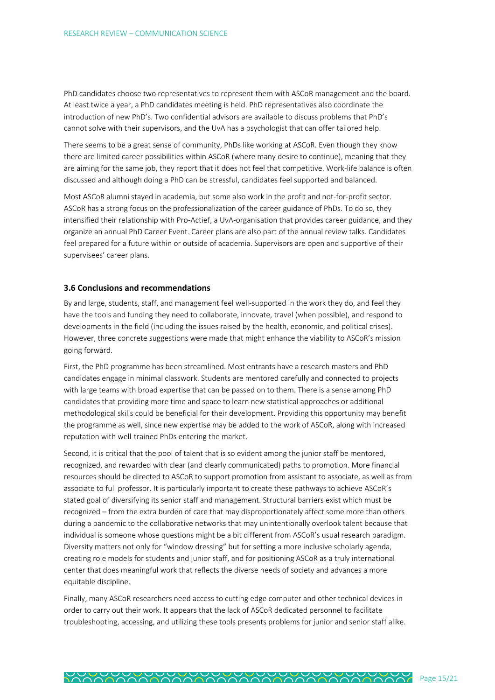PhD candidates choose two representatives to represent them with ASCoR management and the board. At least twice a year, a PhD candidates meeting is held. PhD representatives also coordinate the introduction of new PhD's. Two confidential advisors are available to discuss problems that PhD's cannot solve with their supervisors, and the UvA has a psychologist that can offer tailored help.

There seems to be a great sense of community, PhDs like working at ASCoR. Even though they know there are limited career possibilities within ASCoR (where many desire to continue), meaning that they are aiming for the same job, they report that it does not feel that competitive. Work-life balance is often discussed and although doing a PhD can be stressful, candidates feel supported and balanced.

Most ASCoR alumni stayed in academia, but some also work in the profit and not-for-profit sector. ASCoR has a strong focus on the professionalization of the career guidance of PhDs. To do so, they intensified their relationship with Pro-Actief, a UvA-organisation that provides career guidance, and they organize an annual PhD Career Event. Career plans are also part of the annual review talks. Candidates feel prepared for a future within or outside of academia. Supervisors are open and supportive of their supervisees' career plans.

#### **3.6 Conclusions and recommendations**

By and large, students, staff, and management feel well-supported in the work they do, and feel they have the tools and funding they need to collaborate, innovate, travel (when possible), and respond to developments in the field (including the issues raised by the health, economic, and political crises). However, three concrete suggestions were made that might enhance the viability to ASCoR's mission going forward.

First, the PhD programme has been streamlined. Most entrants have a research masters and PhD candidates engage in minimal classwork. Students are mentored carefully and connected to projects with large teams with broad expertise that can be passed on to them. There is a sense among PhD candidates that providing more time and space to learn new statistical approaches or additional methodological skills could be beneficial for their development. Providing this opportunity may benefit the programme as well, since new expertise may be added to the work of ASCoR, along with increased reputation with well-trained PhDs entering the market.

Second, it is critical that the pool of talent that is so evident among the junior staff be mentored, recognized, and rewarded with clear (and clearly communicated) paths to promotion. More financial resources should be directed to ASCoR to support promotion from assistant to associate, as well as from associate to full professor. It is particularly important to create these pathways to achieve ASCoR's stated goal of diversifying its senior staff and management. Structural barriers exist which must be recognized – from the extra burden of care that may disproportionately affect some more than others during a pandemic to the collaborative networks that may unintentionally overlook talent because that individual is someone whose questions might be a bit different from ASCoR's usual research paradigm. Diversity matters not only for "window dressing" but for setting a more inclusive scholarly agenda, creating role models for students and junior staff, and for positioning ASCoR as a truly international center that does meaningful work that reflects the diverse needs of society and advances a more equitable discipline.

Finally, many ASCoR researchers need access to cutting edge computer and other technical devices in order to carry out their work. It appears that the lack of ASCoR dedicated personnel to facilitate troubleshooting, accessing, and utilizing these tools presents problems for junior and senior staff alike.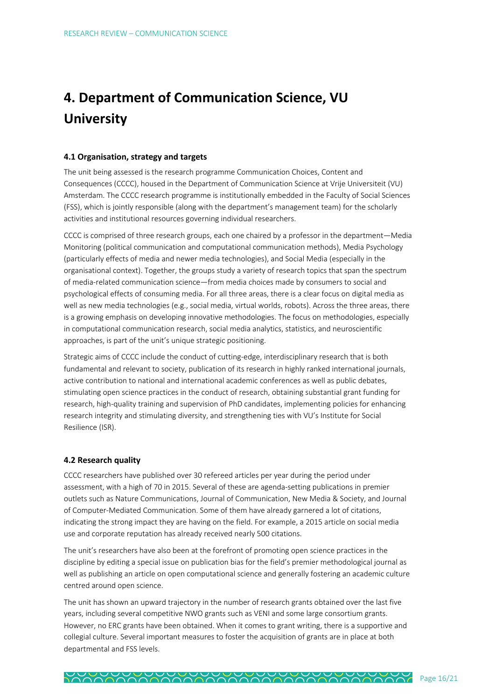# **4. Department of Communication Science, VU University**

#### **4.1 Organisation, strategy and targets**

The unit being assessed is the research programme Communication Choices, Content and Consequences (CCCC), housed in the Department of Communication Science at Vrije Universiteit (VU) Amsterdam. The CCCC research programme is institutionally embedded in the Faculty of Social Sciences (FSS), which is jointly responsible (along with the department's management team) for the scholarly activities and institutional resources governing individual researchers.

CCCC is comprised of three research groups, each one chaired by a professor in the department—Media Monitoring (political communication and computational communication methods), Media Psychology (particularly effects of media and newer media technologies), and Social Media (especially in the organisational context). Together, the groups study a variety of research topics that span the spectrum of media-related communication science—from media choices made by consumers to social and psychological effects of consuming media. For all three areas, there is a clear focus on digital media as well as new media technologies (e.g., social media, virtual worlds, robots). Across the three areas, there is a growing emphasis on developing innovative methodologies. The focus on methodologies, especially in computational communication research, social media analytics, statistics, and neuroscientific approaches, is part of the unit's unique strategic positioning.

Strategic aims of CCCC include the conduct of cutting-edge, interdisciplinary research that is both fundamental and relevant to society, publication of its research in highly ranked international journals, active contribution to national and international academic conferences as well as public debates, stimulating open science practices in the conduct of research, obtaining substantial grant funding for research, high-quality training and supervision of PhD candidates, implementing policies for enhancing research integrity and stimulating diversity, and strengthening ties with VU's Institute for Social Resilience (ISR).

#### **4.2 Research quality**

CCCC researchers have published over 30 refereed articles per year during the period under assessment, with a high of 70 in 2015. Several of these are agenda-setting publications in premier outlets such as Nature Communications, Journal of Communication, New Media & Society, and Journal of Computer-Mediated Communication. Some of them have already garnered a lot of citations, indicating the strong impact they are having on the field. For example, a 2015 article on social media use and corporate reputation has already received nearly 500 citations.

The unit's researchers have also been at the forefront of promoting open science practices in the discipline by editing a special issue on publication bias for the field's premier methodological journal as well as publishing an article on open computational science and generally fostering an academic culture centred around open science.

The unit has shown an upward trajectory in the number of research grants obtained over the last five years, including several competitive NWO grants such as VENI and some large consortium grants. However, no ERC grants have been obtained. When it comes to grant writing, there is a supportive and collegial culture. Several important measures to foster the acquisition of grants are in place at both departmental and FSS levels.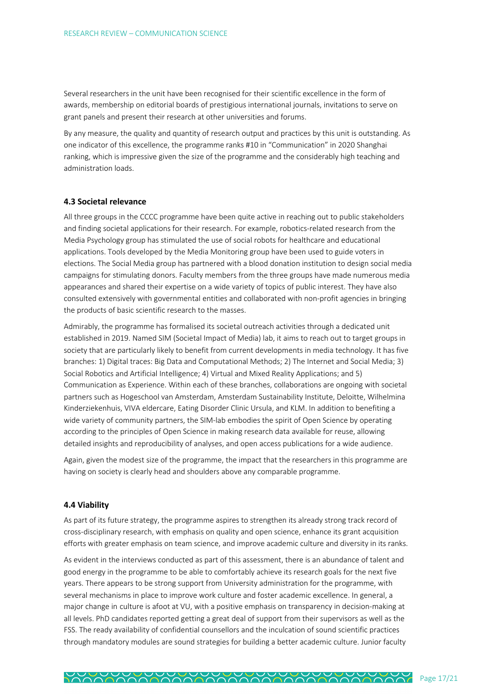Several researchers in the unit have been recognised for their scientific excellence in the form of awards, membership on editorial boards of prestigious international journals, invitations to serve on grant panels and present their research at other universities and forums.

By any measure, the quality and quantity of research output and practices by this unit is outstanding. As one indicator of this excellence, the programme ranks #10 in "Communication" in 2020 Shanghai ranking, which is impressive given the size of the programme and the considerably high teaching and administration loads.

#### **4.3 Societal relevance**

All three groups in the CCCC programme have been quite active in reaching out to public stakeholders and finding societal applications for their research. For example, robotics-related research from the Media Psychology group has stimulated the use of social robots for healthcare and educational applications. Tools developed by the Media Monitoring group have been used to guide voters in elections. The Social Media group has partnered with a blood donation institution to design social media campaigns for stimulating donors. Faculty members from the three groups have made numerous media appearances and shared their expertise on a wide variety of topics of public interest. They have also consulted extensively with governmental entities and collaborated with non-profit agencies in bringing the products of basic scientific research to the masses.

Admirably, the programme has formalised its societal outreach activities through a dedicated unit established in 2019. Named SIM (Societal Impact of Media) lab, it aims to reach out to target groups in society that are particularly likely to benefit from current developments in media technology. It has five branches: 1) Digital traces: Big Data and Computational Methods; 2) The Internet and Social Media; 3) Social Robotics and Artificial Intelligence; 4) Virtual and Mixed Reality Applications; and 5) Communication as Experience. Within each of these branches, collaborations are ongoing with societal partners such as Hogeschool van Amsterdam, Amsterdam Sustainability Institute, Deloitte, Wilhelmina Kinderziekenhuis, VIVA eldercare, Eating Disorder Clinic Ursula, and KLM. In addition to benefiting a wide variety of community partners, the SIM-lab embodies the spirit of Open Science by operating according to the principles of Open Science in making research data available for reuse, allowing detailed insights and reproducibility of analyses, and open access publications for a wide audience.

Again, given the modest size of the programme, the impact that the researchers in this programme are having on society is clearly head and shoulders above any comparable programme.

#### **4.4 Viability**

As part of its future strategy, the programme aspires to strengthen its already strong track record of cross-disciplinary research, with emphasis on quality and open science, enhance its grant acquisition efforts with greater emphasis on team science, and improve academic culture and diversity in its ranks.

As evident in the interviews conducted as part of this assessment, there is an abundance of talent and good energy in the programme to be able to comfortably achieve its research goals for the next five years. There appears to be strong support from University administration for the programme, with several mechanisms in place to improve work culture and foster academic excellence. In general, a major change in culture is afoot at VU, with a positive emphasis on transparency in decision-making at all levels. PhD candidates reported getting a great deal of support from their supervisors as well as the FSS. The ready availability of confidential counsellors and the inculcation of sound scientific practices through mandatory modules are sound strategies for building a better academic culture. Junior faculty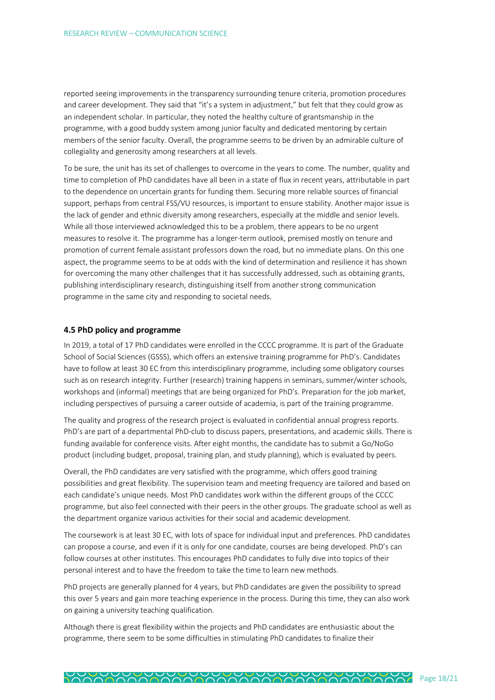reported seeing improvements in the transparency surrounding tenure criteria, promotion procedures and career development. They said that "it's a system in adjustment," but felt that they could grow as an independent scholar. In particular, they noted the healthy culture of grantsmanship in the programme, with a good buddy system among junior faculty and dedicated mentoring by certain members of the senior faculty. Overall, the programme seems to be driven by an admirable culture of collegiality and generosity among researchers at all levels.

To be sure, the unit has its set of challenges to overcome in the years to come. The number, quality and time to completion of PhD candidates have all been in a state of flux in recent years, attributable in part to the dependence on uncertain grants for funding them. Securing more reliable sources of financial support, perhaps from central FSS/VU resources, is important to ensure stability. Another major issue is the lack of gender and ethnic diversity among researchers, especially at the middle and senior levels. While all those interviewed acknowledged this to be a problem, there appears to be no urgent measures to resolve it. The programme has a longer-term outlook, premised mostly on tenure and promotion of current female assistant professors down the road, but no immediate plans. On this one aspect, the programme seems to be at odds with the kind of determination and resilience it has shown for overcoming the many other challenges that it has successfully addressed, such as obtaining grants, publishing interdisciplinary research, distinguishing itself from another strong communication programme in the same city and responding to societal needs.

#### **4.5 PhD policy and programme**

In 2019, a total of 17 PhD candidates were enrolled in the CCCC programme. It is part of the Graduate School of Social Sciences (GSSS), which offers an extensive training programme for PhD's. Candidates have to follow at least 30 EC from this interdisciplinary programme, including some obligatory courses such as on research integrity. Further (research) training happens in seminars, summer/winter schools, workshops and (informal) meetings that are being organized for PhD's. Preparation for the job market, including perspectives of pursuing a career outside of academia, is part of the training programme.

The quality and progress of the research project is evaluated in confidential annual progress reports. PhD's are part of a departmental PhD-club to discuss papers, presentations, and academic skills. There is funding available for conference visits. After eight months, the candidate has to submit a Go/NoGo product (including budget, proposal, training plan, and study planning), which is evaluated by peers.

Overall, the PhD candidates are very satisfied with the programme, which offers good training possibilities and great flexibility. The supervision team and meeting frequency are tailored and based on each candidate's unique needs. Most PhD candidates work within the different groups of the CCCC programme, but also feel connected with their peers in the other groups. The graduate school as well as the department organize various activities for their social and academic development.

The coursework is at least 30 EC, with lots of space for individual input and preferences. PhD candidates can propose a course, and even if it is only for one candidate, courses are being developed. PhD's can follow courses at other institutes. This encourages PhD candidates to fully dive into topics of their personal interest and to have the freedom to take the time to learn new methods.

PhD projects are generally planned for 4 years, but PhD candidates are given the possibility to spread this over 5 years and gain more teaching experience in the process. During this time, they can also work on gaining a university teaching qualification.

Although there is great flexibility within the projects and PhD candidates are enthusiastic about the programme, there seem to be some difficulties in stimulating PhD candidates to finalize their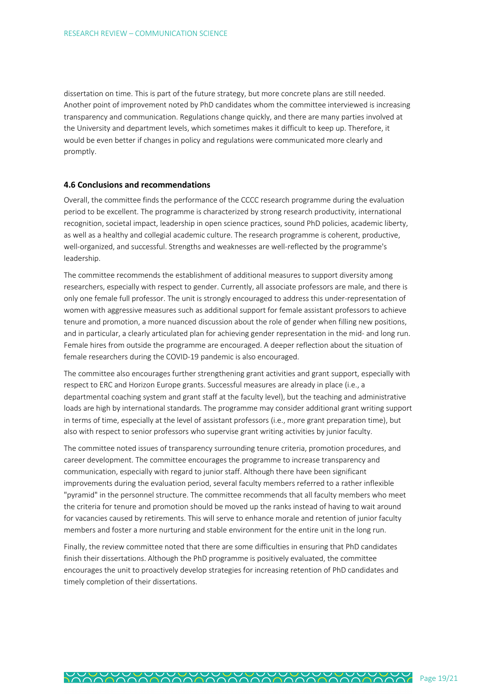dissertation on time. This is part of the future strategy, but more concrete plans are still needed. Another point of improvement noted by PhD candidates whom the committee interviewed is increasing transparency and communication. Regulations change quickly, and there are many parties involved at the University and department levels, which sometimes makes it difficult to keep up. Therefore, it would be even better if changes in policy and regulations were communicated more clearly and promptly.

#### **4.6 Conclusions and recommendations**

Overall, the committee finds the performance of the CCCC research programme during the evaluation period to be excellent. The programme is characterized by strong research productivity, international recognition, societal impact, leadership in open science practices, sound PhD policies, academic liberty, as well as a healthy and collegial academic culture. The research programme is coherent, productive, well-organized, and successful. Strengths and weaknesses are well-reflected by the programme's leadership.

The committee recommends the establishment of additional measures to support diversity among researchers, especially with respect to gender. Currently, all associate professors are male, and there is only one female full professor. The unit is strongly encouraged to address this under-representation of women with aggressive measures such as additional support for female assistant professors to achieve tenure and promotion, a more nuanced discussion about the role of gender when filling new positions, and in particular, a clearly articulated plan for achieving gender representation in the mid- and long run. Female hires from outside the programme are encouraged. A deeper reflection about the situation of female researchers during the COVID-19 pandemic is also encouraged.

The committee also encourages further strengthening grant activities and grant support, especially with respect to ERC and Horizon Europe grants. Successful measures are already in place (i.e., a departmental coaching system and grant staff at the faculty level), but the teaching and administrative loads are high by international standards. The programme may consider additional grant writing support in terms of time, especially at the level of assistant professors (i.e., more grant preparation time), but also with respect to senior professors who supervise grant writing activities by junior faculty.

The committee noted issues of transparency surrounding tenure criteria, promotion procedures, and career development. The committee encourages the programme to increase transparency and communication, especially with regard to junior staff. Although there have been significant improvements during the evaluation period, several faculty members referred to a rather inflexible "pyramid" in the personnel structure. The committee recommends that all faculty members who meet the criteria for tenure and promotion should be moved up the ranks instead of having to wait around for vacancies caused by retirements. This will serve to enhance morale and retention of junior faculty members and foster a more nurturing and stable environment for the entire unit in the long run.

Finally, the review committee noted that there are some difficulties in ensuring that PhD candidates finish their dissertations. Although the PhD programme is positively evaluated, the committee encourages the unit to proactively develop strategies for increasing retention of PhD candidates and timely completion of their dissertations.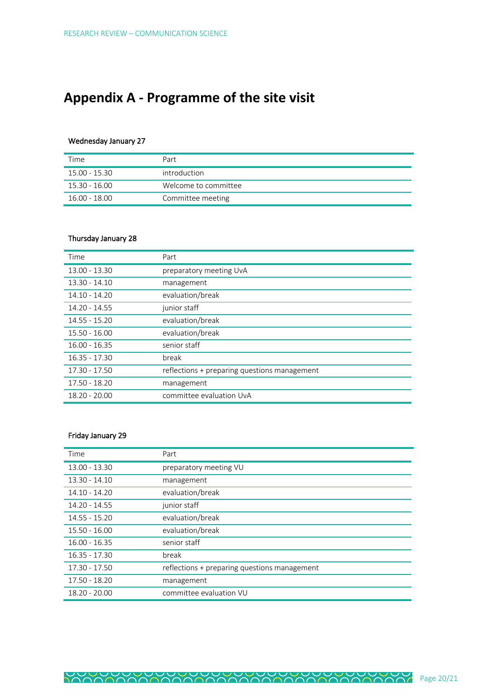# **Appendix A - Programme of the site visit**

#### Wednesday January 27

| Time          | Part                 |
|---------------|----------------------|
| 15.00 - 15.30 | introduction         |
| 15.30 - 16.00 | Welcome to committee |
| 16.00 - 18.00 | Committee meeting    |

## Thursday January 28

| Time            | Part                                         |
|-----------------|----------------------------------------------|
| $13.00 - 13.30$ | preparatory meeting UvA                      |
| $13.30 - 14.10$ | management                                   |
| 14.10 - 14.20   | evaluation/break                             |
| 14.20 - 14.55   | junior staff                                 |
| $14.55 - 15.20$ | evaluation/break                             |
| $15.50 - 16.00$ | evaluation/break                             |
| $16.00 - 16.35$ | senior staff                                 |
| $16.35 - 17.30$ | break                                        |
| 17.30 - 17.50   | reflections + preparing questions management |
| 17.50 - 18.20   | management                                   |
| 18.20 - 20.00   | committee evaluation UvA                     |

## Friday January 29

| Time            | Part                                         |
|-----------------|----------------------------------------------|
| 13.00 - 13.30   | preparatory meeting VU                       |
| $13.30 - 14.10$ | management                                   |
| 14.10 - 14.20   | evaluation/break                             |
| 14.20 - 14.55   | junior staff                                 |
| $14.55 - 15.20$ | evaluation/break                             |
| $15.50 - 16.00$ | evaluation/break                             |
| $16.00 - 16.35$ | senior staff                                 |
| $16.35 - 17.30$ | break                                        |
| 17.30 - 17.50   | reflections + preparing questions management |
| 17.50 - 18.20   | management                                   |
| 18.20 - 20.00   | committee evaluation VU                      |